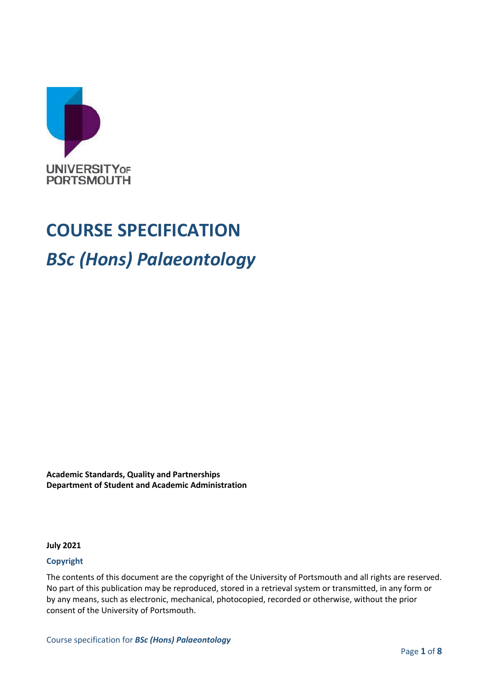

# **COURSE SPECIFICATION** *BSc (Hons) Palaeontology*

**Academic Standards, Quality and Partnerships Department of Student and Academic Administration**

**July 2021**

#### **Copyright**

The contents of this document are the copyright of the University of Portsmouth and all rights are reserved. No part of this publication may be reproduced, stored in a retrieval system or transmitted, in any form or by any means, such as electronic, mechanical, photocopied, recorded or otherwise, without the prior consent of the University of Portsmouth.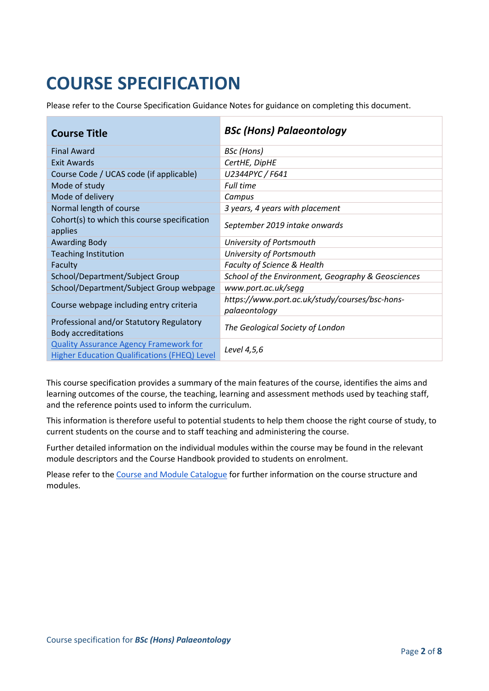## **COURSE SPECIFICATION**

Please refer to the Course Specification Guidance Notes for guidance on completing this document.

| <b>Course Title</b>                                                                                  | <b>BSc (Hons) Palaeontology</b>                                 |
|------------------------------------------------------------------------------------------------------|-----------------------------------------------------------------|
| <b>Final Award</b>                                                                                   | <b>BSc</b> (Hons)                                               |
| <b>Exit Awards</b>                                                                                   | CertHE, DipHE                                                   |
| Course Code / UCAS code (if applicable)                                                              | U2344PYC / F641                                                 |
| Mode of study                                                                                        | <b>Full time</b>                                                |
| Mode of delivery                                                                                     | Campus                                                          |
| Normal length of course                                                                              | 3 years, 4 years with placement                                 |
| Cohort(s) to which this course specification<br>applies                                              | September 2019 intake onwards                                   |
| <b>Awarding Body</b>                                                                                 | University of Portsmouth                                        |
| <b>Teaching Institution</b>                                                                          | University of Portsmouth                                        |
| Faculty                                                                                              | <b>Faculty of Science &amp; Health</b>                          |
| School/Department/Subject Group                                                                      | School of the Environment, Geography & Geosciences              |
| School/Department/Subject Group webpage                                                              | www.port.ac.uk/segg                                             |
| Course webpage including entry criteria                                                              | https://www.port.ac.uk/study/courses/bsc-hons-<br>palaeontology |
| Professional and/or Statutory Regulatory<br><b>Body accreditations</b>                               | The Geological Society of London                                |
| <b>Quality Assurance Agency Framework for</b><br><b>Higher Education Qualifications (FHEQ) Level</b> | Level 4,5,6                                                     |

This course specification provides a summary of the main features of the course, identifies the aims and learning outcomes of the course, the teaching, learning and assessment methods used by teaching staff, and the reference points used to inform the curriculum.

This information is therefore useful to potential students to help them choose the right course of study, to current students on the course and to staff teaching and administering the course.

Further detailed information on the individual modules within the course may be found in the relevant module descriptors and the Course Handbook provided to students on enrolment.

Please refer to the [Course and Module Catalogue](https://course-module-catalog.port.ac.uk/#/welcome) for further information on the course structure and modules.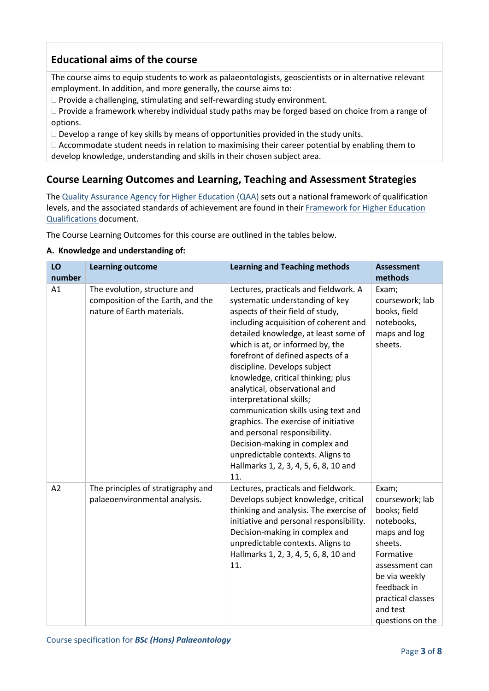## **Educational aims of the course**

The course aims to equip students to work as palaeontologists, geoscientists or in alternative relevant employment. In addition, and more generally, the course aims to:

 $\Box$  Provide a challenging, stimulating and self-rewarding study environment.

 $\Box$  Provide a framework whereby individual study paths may be forged based on choice from a range of options.

 $\Box$  Develop a range of key skills by means of opportunities provided in the study units.

 $\Box$  Accommodate student needs in relation to maximising their career potential by enabling them to develop knowledge, understanding and skills in their chosen subject area.

## **Course Learning Outcomes and Learning, Teaching and Assessment Strategies**

The [Quality Assurance Agency for Higher Education \(QAA\)](http://www.qaa.ac.uk/en) sets out a national framework of qualification levels, and the associated standards of achievement are found in their Framework for Higher Education [Qualifications](http://www.qaa.ac.uk/publications/information-and-guidance/publication/?PubID=2718#.WpmPXWrFL3i) document.

The Course Learning Outcomes for this course are outlined in the tables below.

#### **A. Knowledge and understanding of:**

| LO     | <b>Learning outcome</b>                                                                         | <b>Learning and Teaching methods</b>                                                                                                                                                                                                                                                                                                                                                                                                                                                                                                                                                                                                            | <b>Assessment</b>                                                                                                                                                                                     |
|--------|-------------------------------------------------------------------------------------------------|-------------------------------------------------------------------------------------------------------------------------------------------------------------------------------------------------------------------------------------------------------------------------------------------------------------------------------------------------------------------------------------------------------------------------------------------------------------------------------------------------------------------------------------------------------------------------------------------------------------------------------------------------|-------------------------------------------------------------------------------------------------------------------------------------------------------------------------------------------------------|
| number |                                                                                                 |                                                                                                                                                                                                                                                                                                                                                                                                                                                                                                                                                                                                                                                 | methods                                                                                                                                                                                               |
| A1     | The evolution, structure and<br>composition of the Earth, and the<br>nature of Earth materials. | Lectures, practicals and fieldwork. A<br>systematic understanding of key<br>aspects of their field of study,<br>including acquisition of coherent and<br>detailed knowledge, at least some of<br>which is at, or informed by, the<br>forefront of defined aspects of a<br>discipline. Develops subject<br>knowledge, critical thinking; plus<br>analytical, observational and<br>interpretational skills;<br>communication skills using text and<br>graphics. The exercise of initiative<br>and personal responsibility.<br>Decision-making in complex and<br>unpredictable contexts. Aligns to<br>Hallmarks 1, 2, 3, 4, 5, 6, 8, 10 and<br>11. | Exam;<br>coursework; lab<br>books, field<br>notebooks,<br>maps and log<br>sheets.                                                                                                                     |
| A2     | The principles of stratigraphy and<br>palaeoenvironmental analysis.                             | Lectures, practicals and fieldwork.<br>Develops subject knowledge, critical<br>thinking and analysis. The exercise of<br>initiative and personal responsibility.<br>Decision-making in complex and<br>unpredictable contexts. Aligns to<br>Hallmarks 1, 2, 3, 4, 5, 6, 8, 10 and<br>11.                                                                                                                                                                                                                                                                                                                                                         | Exam;<br>coursework; lab<br>books; field<br>notebooks,<br>maps and log<br>sheets.<br>Formative<br>assessment can<br>be via weekly<br>feedback in<br>practical classes<br>and test<br>questions on the |

Course specification for *BSc (Hons) Palaeontology*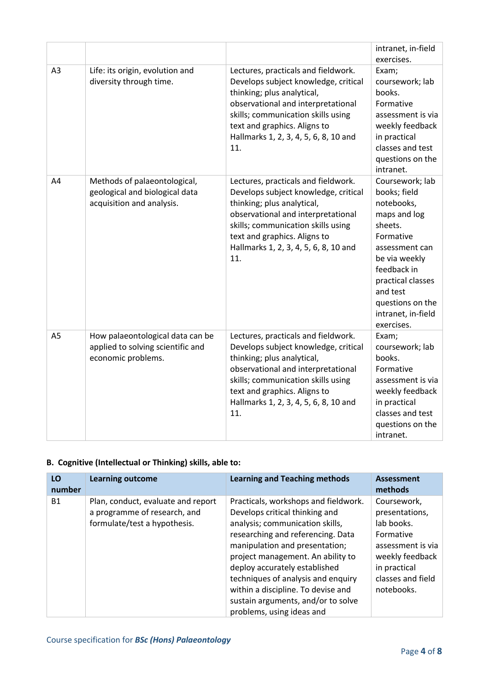|                |                                                                                             |                                                                                                                                                                                                                                                                       | intranet, in-field                                                                                                                                                                                                               |
|----------------|---------------------------------------------------------------------------------------------|-----------------------------------------------------------------------------------------------------------------------------------------------------------------------------------------------------------------------------------------------------------------------|----------------------------------------------------------------------------------------------------------------------------------------------------------------------------------------------------------------------------------|
| A <sub>3</sub> | Life: its origin, evolution and<br>diversity through time.                                  | Lectures, practicals and fieldwork.<br>Develops subject knowledge, critical<br>thinking; plus analytical,<br>observational and interpretational<br>skills; communication skills using<br>text and graphics. Aligns to<br>Hallmarks 1, 2, 3, 4, 5, 6, 8, 10 and<br>11. | exercises.<br>Exam;<br>coursework; lab<br>books.<br>Formative<br>assessment is via<br>weekly feedback<br>in practical<br>classes and test<br>questions on the<br>intranet.                                                       |
| A4             | Methods of palaeontological,<br>geological and biological data<br>acquisition and analysis. | Lectures, practicals and fieldwork.<br>Develops subject knowledge, critical<br>thinking; plus analytical,<br>observational and interpretational<br>skills; communication skills using<br>text and graphics. Aligns to<br>Hallmarks 1, 2, 3, 4, 5, 6, 8, 10 and<br>11. | Coursework; lab<br>books; field<br>notebooks,<br>maps and log<br>sheets.<br>Formative<br>assessment can<br>be via weekly<br>feedback in<br>practical classes<br>and test<br>questions on the<br>intranet, in-field<br>exercises. |
| A <sub>5</sub> | How palaeontological data can be<br>applied to solving scientific and<br>economic problems. | Lectures, practicals and fieldwork.<br>Develops subject knowledge, critical<br>thinking; plus analytical,<br>observational and interpretational<br>skills; communication skills using<br>text and graphics. Aligns to<br>Hallmarks 1, 2, 3, 4, 5, 6, 8, 10 and<br>11. | Exam;<br>coursework; lab<br>books.<br>Formative<br>assessment is via<br>weekly feedback<br>in practical<br>classes and test<br>questions on the<br>intranet.                                                                     |

#### **B. Cognitive (Intellectual or Thinking) skills, able to:**

| LO<br>number | <b>Learning outcome</b>                                                                            | <b>Learning and Teaching methods</b>                                                                                                                                                                                                                                                                                                                                                                  | <b>Assessment</b><br>methods                                                                                                                        |
|--------------|----------------------------------------------------------------------------------------------------|-------------------------------------------------------------------------------------------------------------------------------------------------------------------------------------------------------------------------------------------------------------------------------------------------------------------------------------------------------------------------------------------------------|-----------------------------------------------------------------------------------------------------------------------------------------------------|
| <b>B1</b>    | Plan, conduct, evaluate and report<br>a programme of research, and<br>formulate/test a hypothesis. | Practicals, workshops and fieldwork.<br>Develops critical thinking and<br>analysis; communication skills,<br>researching and referencing. Data<br>manipulation and presentation;<br>project management. An ability to<br>deploy accurately established<br>techniques of analysis and enquiry<br>within a discipline. To devise and<br>sustain arguments, and/or to solve<br>problems, using ideas and | Coursework.<br>presentations,<br>lab books.<br>Formative<br>assessment is via<br>weekly feedback<br>in practical<br>classes and field<br>notebooks. |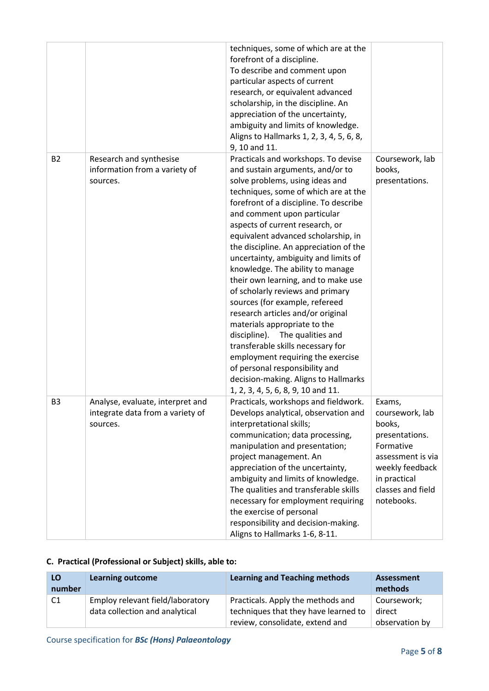|                |                                                                                  | techniques, some of which are at the<br>forefront of a discipline.<br>To describe and comment upon<br>particular aspects of current<br>research, or equivalent advanced<br>scholarship, in the discipline. An<br>appreciation of the uncertainty,<br>ambiguity and limits of knowledge.<br>Aligns to Hallmarks 1, 2, 3, 4, 5, 6, 8,<br>9, 10 and 11.                                                                                                                                                                                                                                                                                                                                                                                                                                                                                      |                                                                                                                                                               |
|----------------|----------------------------------------------------------------------------------|-------------------------------------------------------------------------------------------------------------------------------------------------------------------------------------------------------------------------------------------------------------------------------------------------------------------------------------------------------------------------------------------------------------------------------------------------------------------------------------------------------------------------------------------------------------------------------------------------------------------------------------------------------------------------------------------------------------------------------------------------------------------------------------------------------------------------------------------|---------------------------------------------------------------------------------------------------------------------------------------------------------------|
| <b>B2</b>      | Research and synthesise<br>information from a variety of<br>sources.             | Practicals and workshops. To devise<br>and sustain arguments, and/or to<br>solve problems, using ideas and<br>techniques, some of which are at the<br>forefront of a discipline. To describe<br>and comment upon particular<br>aspects of current research, or<br>equivalent advanced scholarship, in<br>the discipline. An appreciation of the<br>uncertainty, ambiguity and limits of<br>knowledge. The ability to manage<br>their own learning, and to make use<br>of scholarly reviews and primary<br>sources (for example, refereed<br>research articles and/or original<br>materials appropriate to the<br>discipline). The qualities and<br>transferable skills necessary for<br>employment requiring the exercise<br>of personal responsibility and<br>decision-making. Aligns to Hallmarks<br>1, 2, 3, 4, 5, 6, 8, 9, 10 and 11. | Coursework, lab<br>books,<br>presentations.                                                                                                                   |
| B <sub>3</sub> | Analyse, evaluate, interpret and<br>integrate data from a variety of<br>sources. | Practicals, workshops and fieldwork.<br>Develops analytical, observation and<br>interpretational skills;<br>communication; data processing,<br>manipulation and presentation;<br>project management. An<br>appreciation of the uncertainty,<br>ambiguity and limits of knowledge.<br>The qualities and transferable skills<br>necessary for employment requiring<br>the exercise of personal<br>responsibility and decision-making.<br>Aligns to Hallmarks 1-6, 8-11.                                                                                                                                                                                                                                                                                                                                                                     | Exams,<br>coursework, lab<br>books,<br>presentations.<br>Formative<br>assessment is via<br>weekly feedback<br>in practical<br>classes and field<br>notebooks. |

#### **C. Practical (Professional or Subject) skills, able to:**

| LO<br>number   | <b>Learning outcome</b>                                            | <b>Learning and Teaching methods</b>                                      | Assessment<br>methods |
|----------------|--------------------------------------------------------------------|---------------------------------------------------------------------------|-----------------------|
| C <sub>1</sub> | Employ relevant field/laboratory<br>data collection and analytical | Practicals. Apply the methods and<br>techniques that they have learned to | Coursework;<br>direct |
|                |                                                                    | review, consolidate, extend and                                           | observation by        |

Course specification for *BSc (Hons) Palaeontology*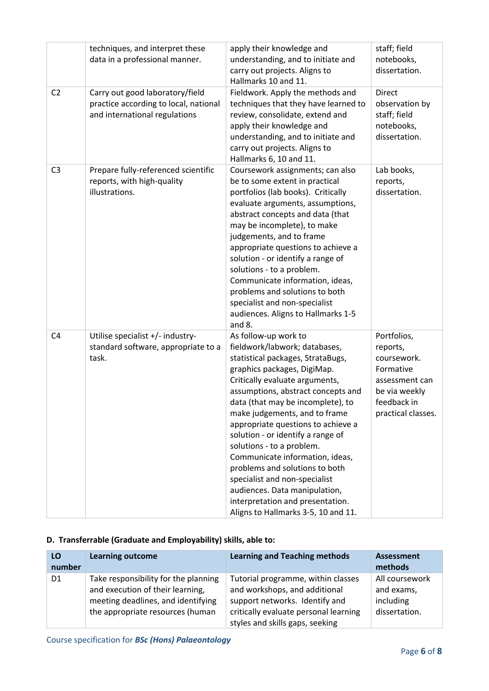|                | techniques, and interpret these<br>data in a professional manner.                                         | apply their knowledge and<br>understanding, and to initiate and<br>carry out projects. Aligns to<br>Hallmarks 10 and 11.                                                                                                                                                                                                                                                                                                                                                                                                                                                                          | staff; field<br>notebooks,<br>dissertation.                                                                                 |
|----------------|-----------------------------------------------------------------------------------------------------------|---------------------------------------------------------------------------------------------------------------------------------------------------------------------------------------------------------------------------------------------------------------------------------------------------------------------------------------------------------------------------------------------------------------------------------------------------------------------------------------------------------------------------------------------------------------------------------------------------|-----------------------------------------------------------------------------------------------------------------------------|
| C <sub>2</sub> | Carry out good laboratory/field<br>practice according to local, national<br>and international regulations | Fieldwork. Apply the methods and<br>techniques that they have learned to<br>review, consolidate, extend and<br>apply their knowledge and<br>understanding, and to initiate and<br>carry out projects. Aligns to<br>Hallmarks 6, 10 and 11.                                                                                                                                                                                                                                                                                                                                                        | <b>Direct</b><br>observation by<br>staff; field<br>notebooks,<br>dissertation.                                              |
| C <sub>3</sub> | Prepare fully-referenced scientific<br>reports, with high-quality<br>illustrations.                       | Coursework assignments; can also<br>be to some extent in practical<br>portfolios (lab books). Critically<br>evaluate arguments, assumptions,<br>abstract concepts and data (that<br>may be incomplete), to make<br>judgements, and to frame<br>appropriate questions to achieve a<br>solution - or identify a range of<br>solutions - to a problem.<br>Communicate information, ideas,<br>problems and solutions to both<br>specialist and non-specialist<br>audiences. Aligns to Hallmarks 1-5<br>and 8.                                                                                         | Lab books,<br>reports,<br>dissertation.                                                                                     |
| C <sub>4</sub> | Utilise specialist +/- industry-<br>standard software, appropriate to a<br>task.                          | As follow-up work to<br>fieldwork/labwork; databases,<br>statistical packages, StrataBugs,<br>graphics packages, DigiMap.<br>Critically evaluate arguments,<br>assumptions, abstract concepts and<br>data (that may be incomplete), to<br>make judgements, and to frame<br>appropriate questions to achieve a<br>solution - or identify a range of<br>solutions - to a problem.<br>Communicate information, ideas,<br>problems and solutions to both<br>specialist and non-specialist<br>audiences. Data manipulation,<br>interpretation and presentation.<br>Aligns to Hallmarks 3-5, 10 and 11. | Portfolios,<br>reports,<br>coursework.<br>Formative<br>assessment can<br>be via weekly<br>feedback in<br>practical classes. |

#### **D. Transferrable (Graduate and Employability) skills, able to:**

| LO<br>number   | <b>Learning outcome</b>                                                                                                                            | <b>Learning and Teaching methods</b>                                                                                                                                              | Assessment<br>methods                                      |
|----------------|----------------------------------------------------------------------------------------------------------------------------------------------------|-----------------------------------------------------------------------------------------------------------------------------------------------------------------------------------|------------------------------------------------------------|
| D <sub>1</sub> | Take responsibility for the planning<br>and execution of their learning,<br>meeting deadlines, and identifying<br>the appropriate resources (human | Tutorial programme, within classes<br>and workshops, and additional<br>support networks. Identify and<br>critically evaluate personal learning<br>styles and skills gaps, seeking | All coursework<br>and exams,<br>including<br>dissertation. |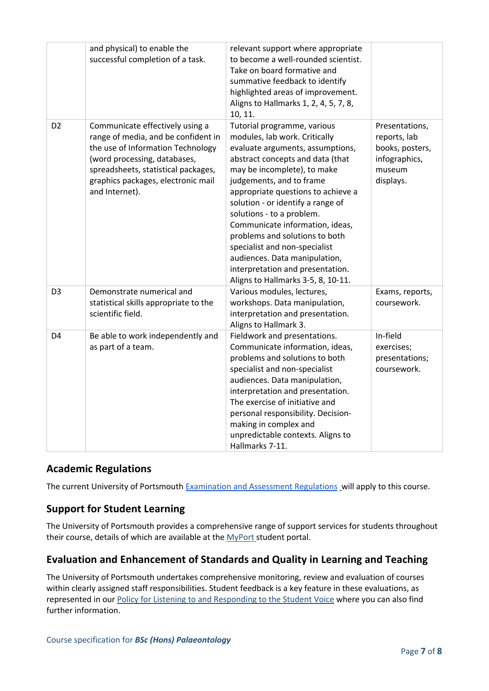|                | and physical) to enable the<br>successful completion of a task.                                                                                                                                                                            | relevant support where appropriate<br>to become a well-rounded scientist.<br>Take on board formative and<br>summative feedback to identify<br>highlighted areas of improvement.<br>Aligns to Hallmarks 1, 2, 4, 5, 7, 8,<br>10, 11.                                                                                                                                                                                                                                                                                      |                                                                                           |
|----------------|--------------------------------------------------------------------------------------------------------------------------------------------------------------------------------------------------------------------------------------------|--------------------------------------------------------------------------------------------------------------------------------------------------------------------------------------------------------------------------------------------------------------------------------------------------------------------------------------------------------------------------------------------------------------------------------------------------------------------------------------------------------------------------|-------------------------------------------------------------------------------------------|
| D <sub>2</sub> | Communicate effectively using a<br>range of media, and be confident in<br>the use of Information Technology<br>(word processing, databases,<br>spreadsheets, statistical packages,<br>graphics packages, electronic mail<br>and Internet). | Tutorial programme, various<br>modules, lab work. Critically<br>evaluate arguments, assumptions,<br>abstract concepts and data (that<br>may be incomplete), to make<br>judgements, and to frame<br>appropriate questions to achieve a<br>solution - or identify a range of<br>solutions - to a problem.<br>Communicate information, ideas,<br>problems and solutions to both<br>specialist and non-specialist<br>audiences. Data manipulation,<br>interpretation and presentation.<br>Aligns to Hallmarks 3-5, 8, 10-11. | Presentations,<br>reports, lab<br>books, posters,<br>infographics,<br>museum<br>displays. |
| D <sub>3</sub> | Demonstrate numerical and<br>statistical skills appropriate to the<br>scientific field.                                                                                                                                                    | Various modules, lectures,<br>workshops. Data manipulation,<br>interpretation and presentation.<br>Aligns to Hallmark 3.                                                                                                                                                                                                                                                                                                                                                                                                 | Exams, reports,<br>coursework.                                                            |
| D <sub>4</sub> | Be able to work independently and<br>as part of a team.                                                                                                                                                                                    | Fieldwork and presentations.<br>Communicate information, ideas,<br>problems and solutions to both<br>specialist and non-specialist<br>audiences. Data manipulation,<br>interpretation and presentation.<br>The exercise of initiative and<br>personal responsibility. Decision-<br>making in complex and<br>unpredictable contexts. Aligns to<br>Hallmarks 7-11.                                                                                                                                                         | In-field<br>exercises;<br>presentations;<br>coursework.                                   |

#### **Academic Regulations**

The current University of Portsmouth [Examination and Assessment Regulations](https://policies.docstore.port.ac.uk/policy-107.pdf?_ga=2.33246333.272747655.1631517445-192857226.1625573931) will apply to this course.

#### **Support for Student Learning**

The University of Portsmouth provides a comprehensive range of support services for students throughout their course, details of which are available at the [MyPort](http://myport.ac.uk/) student portal.

#### **Evaluation and Enhancement of Standards and Quality in Learning and Teaching**

The University of Portsmouth undertakes comprehensive monitoring, review and evaluation of courses within clearly assigned staff responsibilities. Student feedback is a key feature in these evaluations, as represented in our [Policy for Listening to and Responding to the Student Voice](http://policies.docstore.port.ac.uk/policy-069.pdf) where you can also find further information.